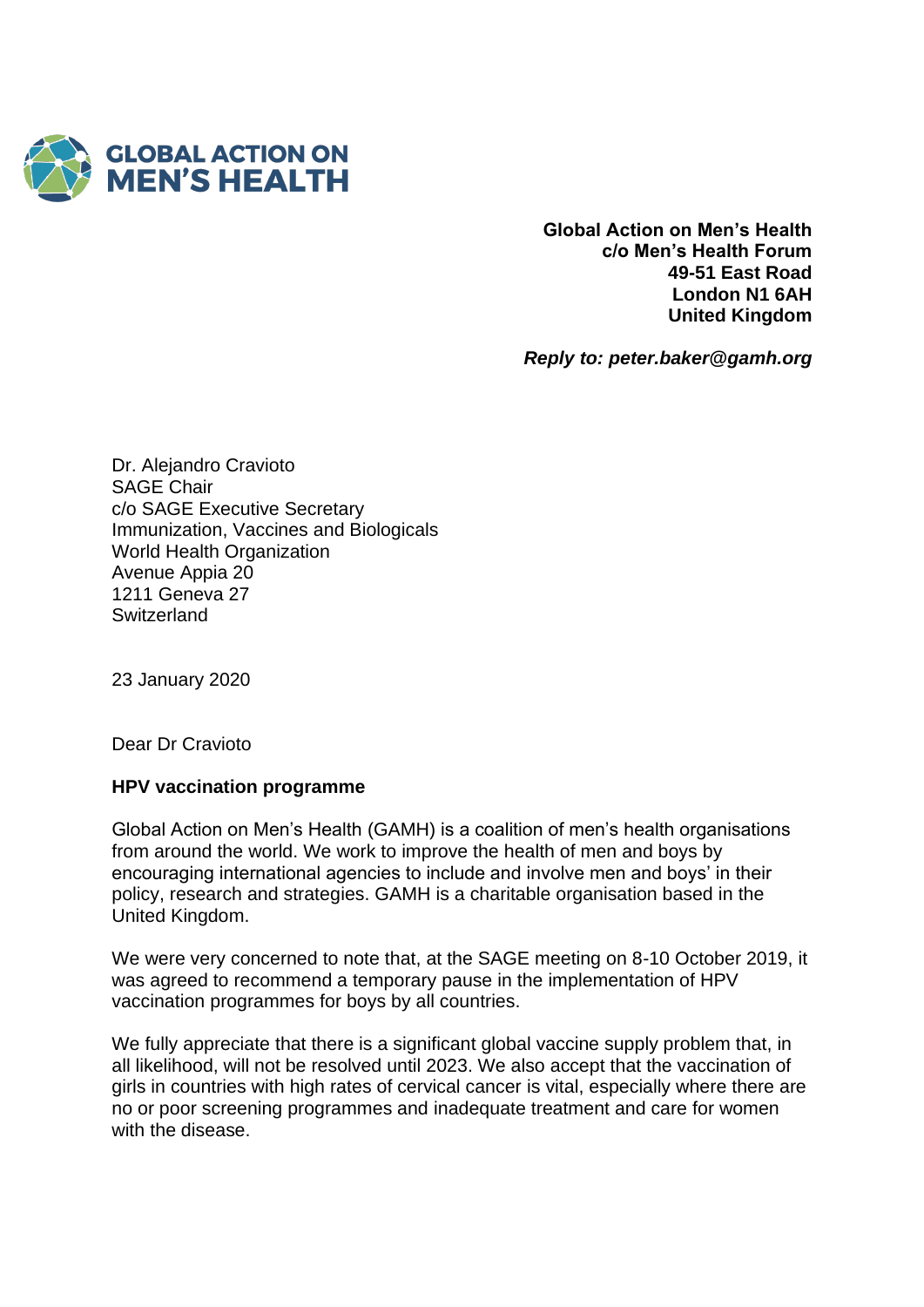

**Global Action on Men's Health c/o Men's Health Forum 49-51 East Road London N1 6AH United Kingdom**

*Reply to: peter.baker@gamh.org*

Dr. Alejandro Cravioto SAGE Chair c/o SAGE Executive Secretary Immunization, Vaccines and Biologicals World Health Organization Avenue Appia 20 1211 Geneva 27 **Switzerland** 

23 January 2020

Dear Dr Cravioto

## **HPV vaccination programme**

Global Action on Men's Health (GAMH) is a coalition of men's health organisations from around the world. We work to improve the health of men and boys by encouraging international agencies to include and involve men and boys' in their policy, research and strategies. GAMH is a charitable organisation based in the United Kingdom.

We were very concerned to note that, at the SAGE meeting on 8-10 October 2019, it was agreed to recommend a temporary pause in the implementation of HPV vaccination programmes for boys by all countries.

We fully appreciate that there is a significant global vaccine supply problem that, in all likelihood, will not be resolved until 2023. We also accept that the vaccination of girls in countries with high rates of cervical cancer is vital, especially where there are no or poor screening programmes and inadequate treatment and care for women with the disease.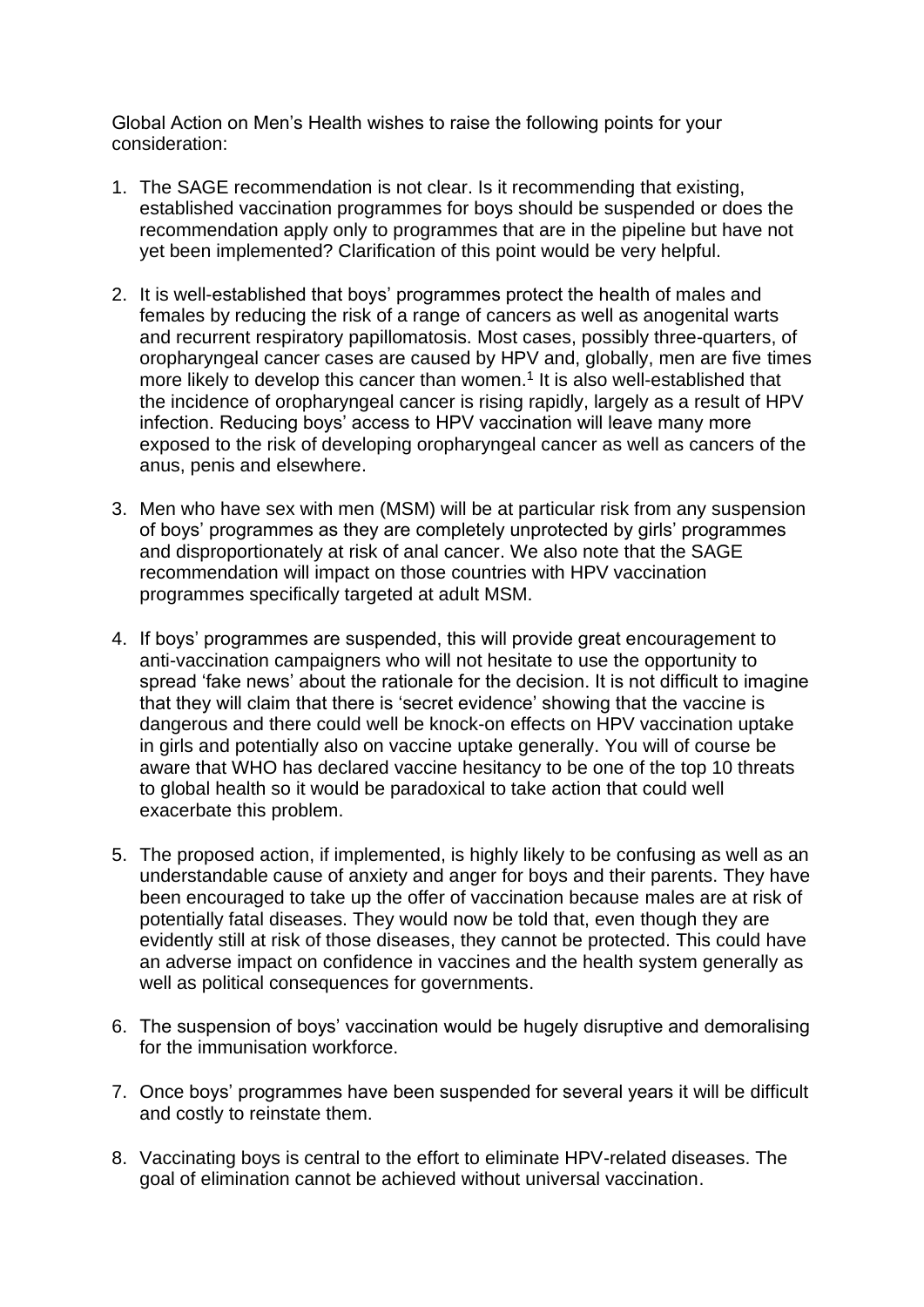Global Action on Men's Health wishes to raise the following points for your consideration:

- 1. The SAGE recommendation is not clear. Is it recommending that existing, established vaccination programmes for boys should be suspended or does the recommendation apply only to programmes that are in the pipeline but have not yet been implemented? Clarification of this point would be very helpful.
- 2. It is well-established that boys' programmes protect the health of males and females by reducing the risk of a range of cancers as well as anogenital warts and recurrent respiratory papillomatosis. Most cases, possibly three-quarters, of oropharyngeal cancer cases are caused by HPV and, globally, men are five times more likely to develop this cancer than women.<sup>1</sup> It is also well-established that the incidence of oropharyngeal cancer is rising rapidly, largely as a result of HPV infection. Reducing boys' access to HPV vaccination will leave many more exposed to the risk of developing oropharyngeal cancer as well as cancers of the anus, penis and elsewhere.
- 3. Men who have sex with men (MSM) will be at particular risk from any suspension of boys' programmes as they are completely unprotected by girls' programmes and disproportionately at risk of anal cancer. We also note that the SAGE recommendation will impact on those countries with HPV vaccination programmes specifically targeted at adult MSM.
- 4. If boys' programmes are suspended, this will provide great encouragement to anti-vaccination campaigners who will not hesitate to use the opportunity to spread 'fake news' about the rationale for the decision. It is not difficult to imagine that they will claim that there is 'secret evidence' showing that the vaccine is dangerous and there could well be knock-on effects on HPV vaccination uptake in girls and potentially also on vaccine uptake generally. You will of course be aware that WHO has declared vaccine hesitancy to be one of the top 10 threats to global health so it would be paradoxical to take action that could well exacerbate this problem.
- 5. The proposed action, if implemented, is highly likely to be confusing as well as an understandable cause of anxiety and anger for boys and their parents. They have been encouraged to take up the offer of vaccination because males are at risk of potentially fatal diseases. They would now be told that, even though they are evidently still at risk of those diseases, they cannot be protected. This could have an adverse impact on confidence in vaccines and the health system generally as well as political consequences for governments.
- 6. The suspension of boys' vaccination would be hugely disruptive and demoralising for the immunisation workforce.
- 7. Once boys' programmes have been suspended for several years it will be difficult and costly to reinstate them.
- 8. Vaccinating boys is central to the effort to eliminate HPV-related diseases. The goal of elimination cannot be achieved without universal vaccination.